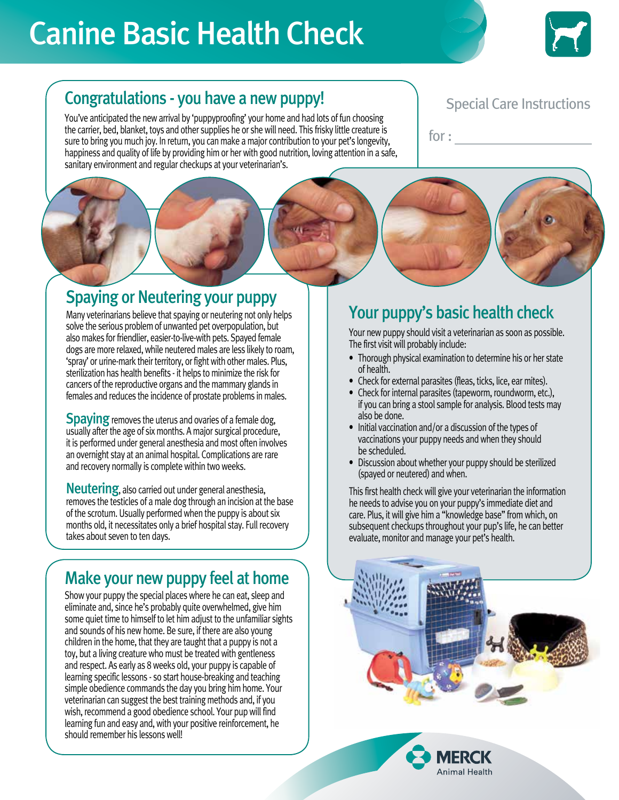# Canine Basic Health Check



#### Congratulations - you have a new puppy!

You've anticipated the new arrival by 'puppyproofing' your home and had lots of fun choosing the carrier, bed, blanket, toys and other supplies he or she will need. This frisky little creature is sure to bring you much joy. In return, you can make a major contribution to your pet's longevity, happiness and quality of life by providing him or her with good nutrition, loving attention in a safe, sanitary environment and regular checkups at your veterinarian's.

#### Special Care Instructions

for :

### Spaying or Neutering your puppy

Many veterinarians believe that spaying or neutering not only helps solve the serious problem of unwanted pet overpopulation, but also makes for friendlier, easier-to-live-with pets. Spayed female dogs are more relaxed, while neutered males are less likely to roam, 'spray' or urine-mark their territory, or fight with other males. Plus, sterilization has health benefits - it helps to minimize the risk for cancers of the reproductive organs and the mammary glands in females and reduces the incidence of prostate problems in males.

**Spaying** removes the uterus and ovaries of a female dog, usually after the age of six months. A major surgical procedure, it is performed under general anesthesia and most often involves an overnight stay at an animal hospital. Complications are rare and recovery normally is complete within two weeks.

**Neutering, also carried out under general anesthesia.** removes the testicles of a male dog through an incision at the base of the scrotum. Usually performed when the puppy is about six months old, it necessitates only a brief hospital stay. Full recovery takes about seven to ten days.

#### Make your new puppy feel at home

Show your puppy the special places where he can eat, sleep and eliminate and, since he's probably quite overwhelmed, give him some quiet time to himself to let him adjust to the unfamiliar sights and sounds of his new home. Be sure, if there are also young children in the home, that they are taught that a puppy is not a toy, but a living creature who must be treated with gentleness and respect. As early as 8 weeks old, your puppy is capable of learning specific lessons - so start house-breaking and teaching simple obedience commands the day you bring him home. Your veterinarian can suggest the best training methods and, if you wish, recommend a good obedience school. Your pup will find learning fun and easy and, with your positive reinforcement, he should remember his lessons well!

### Your puppy's basic health check

Your new puppy should visit a veterinarian as soon as possible. The first visit will probably include:

- Thorough physical examination to determine his or her state of health.
- Check for external parasites (fleas, ticks, lice, ear mites).
- Check for internal parasites (tapeworm, roundworm, etc.), if you can bring a stool sample for analysis. Blood tests may also be done.
- Initial vaccination and/or a discussion of the types of vaccinations your puppy needs and when they should be scheduled.
- Discussion about whether your puppy should be sterilized (spayed or neutered) and when.

This first health check will give your veterinarian the information he needs to advise you on your puppy's immediate diet and care. Plus, it will give him a "knowledge base" from which, on subsequent checkups throughout your pup's life, he can better evaluate, monitor and manage your pet's health.